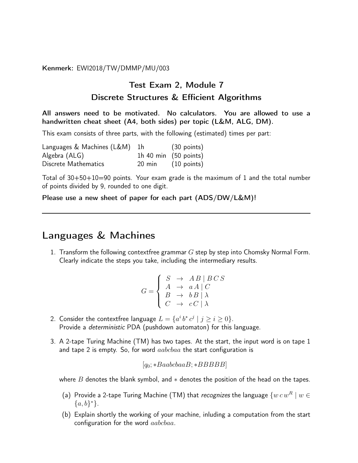Kenmerk: EWI2018/TW/DMMP/MU/003

## Test Exam 2, Module 7 Discrete Structures & Efficient Algorithms

All answers need to be motivated. No calculators. You are allowed to use a handwritten cheat sheet (A4, both sides) per topic (L&M, ALG, DM).

This exam consists of three parts, with the following (estimated) times per part:

| Languages & Machines (L&M) | 1 <sub>h</sub>   | $(30 \text{ points})$           |
|----------------------------|------------------|---------------------------------|
| Algebra (ALG)              |                  | 1h 40 min $(50 \text{ points})$ |
| Discrete Mathematics       | $20 \text{ min}$ | (10 points)                     |

Total of 30+50+10=90 points. Your exam grade is the maximum of 1 and the total number of points divided by 9, rounded to one digit.

Please use a new sheet of paper for each part (ADS/DW/L&M)!

## Languages & Machines

1. Transform the following contextfree grammar  $G$  step by step into Chomsky Normal Form. Clearly indicate the steps you take, including the intermediary results.

$$
G = \begin{cases} S & \rightarrow \quad AB \mid BC \, S \\ A & \rightarrow \quad a \, A \mid C \\ B & \rightarrow \quad b \, B \mid \lambda \\ C & \rightarrow \quad c \, C \mid \lambda \end{cases}
$$

- 2. Consider the contextfree language  $L = \{a^i b^* c^j \mid j \ge i \ge 0\}.$ Provide a deterministic PDA (pushdown automaton) for this language.
- 3. A 2-tape Turing Machine (TM) has two tapes. At the start, the input word is on tape 1 and tape 2 is empty. So, for word  $aabbbaa$  the start configuration is

$$
[q_0; *BaabcbaaB; *BBBBB]
$$

where  $B$  denotes the blank symbol, and  $*$  denotes the position of the head on the tapes.

- (a) Provide a 2-tape Turing Machine (TM) that recognizes the language  $\{w c w^R \mid w \in$  ${a,b}^*$ .
- (b) Explain shortly the working of your machine, inluding a computation from the start configuration for the word aabcbaa.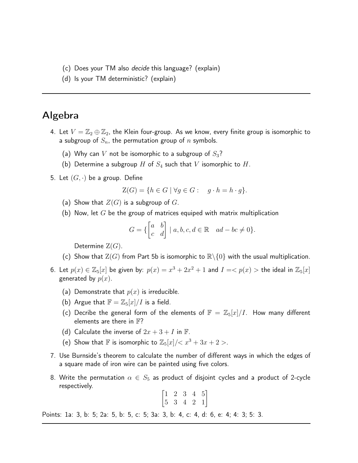- (c) Does your TM also decide this language? (explain)
- (d) Is your TM deterministic? (explain)

## Algebra

- 4. Let  $V = \mathbb{Z}_2 \oplus \mathbb{Z}_2$ , the Klein four-group. As we know, every finite group is isomorphic to a subgroup of  $S_n$ , the permutation group of n symbols.
	- (a) Why can V not be isomorphic to a subgroup of  $S_3$ ?
	- (b) Determine a subgroup H of  $S_4$  such that V isomorphic to H.
- 5. Let  $(G, \cdot)$  be a group. Define

$$
Z(G) = \{ h \in G \mid \forall g \in G : g \cdot h = h \cdot g \}.
$$

- (a) Show that  $Z(G)$  is a subgroup of G.
- (b) Now, let  $G$  be the group of matrices equiped with matrix multiplication

$$
G = \{ \begin{bmatrix} a & b \\ c & d \end{bmatrix} \mid a, b, c, d \in \mathbb{R} \quad ad - bc \neq 0 \}.
$$

Determine  $Z(G)$ .

- (c) Show that  $Z(G)$  from Part 5b is isomorphic to  $\mathbb{R}\setminus\{0\}$  with the usual multiplication.
- 6. Let  $p(x) \in \mathbb{Z}_5[x]$  be given by:  $p(x) = x^3 + 2x^2 + 1$  and  $I = < p(x) >$  the ideal in  $\mathbb{Z}_5[x]$ generated by  $p(x)$ .
	- (a) Demonstrate that  $p(x)$  is irreducible.
	- (b) Argue that  $\mathbb{F} = \mathbb{Z}_5[x]/I$  is a field.
	- (c) Decribe the general form of the elements of  $\mathbb{F} = \mathbb{Z}_5[x]/I$ . How many different elements are there in  $\mathbb{F}$ ?
	- (d) Calculate the inverse of  $2x + 3 + I$  in  $\mathbb{F}$ .
	- (e) Show that F is isomorphic to  $\mathbb{Z}_5[x]/< x^3 + 3x + 2 >$ .
- 7. Use Burnside's theorem to calculate the number of different ways in which the edges of a square made of iron wire can be painted using five colors.
- 8. Write the permutation  $\alpha \in S_5$  as product of disjoint cycles and a product of 2-cycle respectively.

$$
\begin{bmatrix} 1 & 2 & 3 & 4 & 5 \\ 5 & 3 & 4 & 2 & 1 \end{bmatrix}
$$

Points: 1a: 3, b: 5; 2a: 5, b: 5, c: 5; 3a: 3, b: 4, c: 4, d: 6, e: 4; 4: 3; 5: 3.